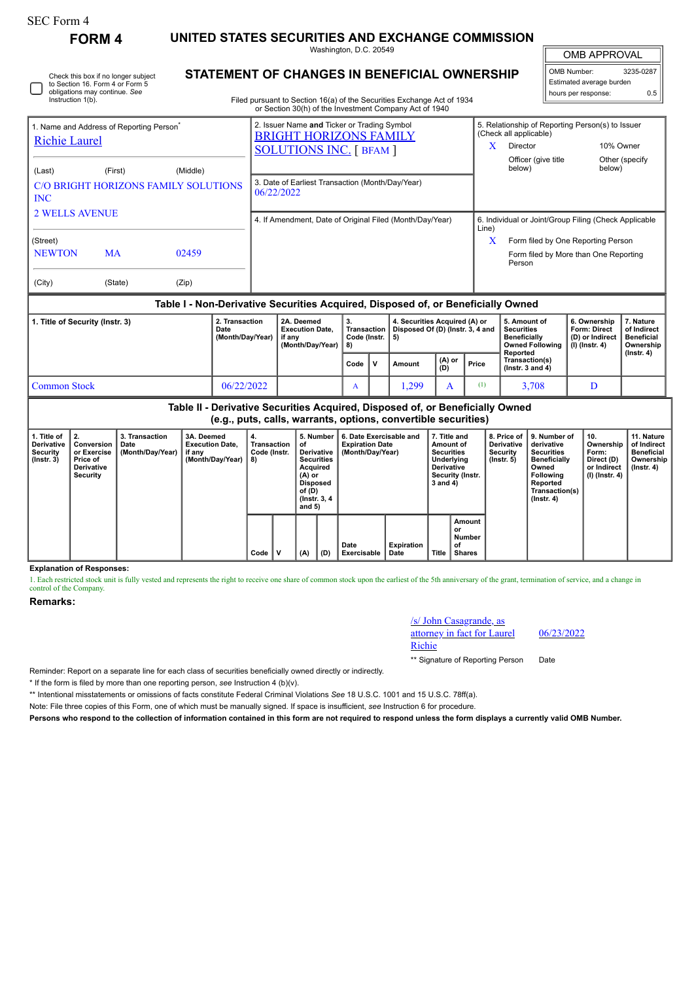|                                                                                                               | <b>FORM 4</b>                                                                                           | UNITED STATES SECURITIES AND EXCHANGE COMMISSION                                 |                                                                                                                                                                                  |                                                                                                                                                                    |      |                                                                                                                           |                                                                                                                                                                  |                                                                |                                                                                                |                                                                |                                                                   |                                                                                |  |  |
|---------------------------------------------------------------------------------------------------------------|---------------------------------------------------------------------------------------------------------|----------------------------------------------------------------------------------|----------------------------------------------------------------------------------------------------------------------------------------------------------------------------------|--------------------------------------------------------------------------------------------------------------------------------------------------------------------|------|---------------------------------------------------------------------------------------------------------------------------|------------------------------------------------------------------------------------------------------------------------------------------------------------------|----------------------------------------------------------------|------------------------------------------------------------------------------------------------|----------------------------------------------------------------|-------------------------------------------------------------------|--------------------------------------------------------------------------------|--|--|
|                                                                                                               |                                                                                                         |                                                                                  |                                                                                                                                                                                  | Washington, D.C. 20549                                                                                                                                             |      |                                                                                                                           |                                                                                                                                                                  | <b>OMB APPROVAL</b>                                            |                                                                                                |                                                                |                                                                   |                                                                                |  |  |
| Instruction 1(b).                                                                                             | Check this box if no longer subject<br>to Section 16. Form 4 or Form 5<br>obligations may continue. See |                                                                                  | STATEMENT OF CHANGES IN BENEFICIAL OWNERSHIP<br>Filed pursuant to Section 16(a) of the Securities Exchange Act of 1934<br>or Section 30(h) of the Investment Company Act of 1940 |                                                                                                                                                                    |      |                                                                                                                           |                                                                                                                                                                  | OMB Number:<br>Estimated average burden<br>hours per response: | 3235-0287<br>0.5                                                                               |                                                                |                                                                   |                                                                                |  |  |
| 1. Name and Address of Reporting Person <sup>®</sup><br><b>Richie Laurel</b><br>(Middle)<br>(Last)<br>(First) |                                                                                                         |                                                                                  |                                                                                                                                                                                  | 2. Issuer Name and Ticker or Trading Symbol<br><b>BRIGHT HORIZONS FAMILY</b><br><b>SOLUTIONS INC.</b> [ BFAM ]<br>3. Date of Earliest Transaction (Month/Day/Year) |      | X                                                                                                                         | 5. Relationship of Reporting Person(s) to Issuer<br>(Check all applicable)<br>Director<br>10% Owner<br>Officer (give title<br>Other (specify<br>below)<br>below) |                                                                |                                                                                                |                                                                |                                                                   |                                                                                |  |  |
| <b>INC</b>                                                                                                    | <b>C/O BRIGHT HORIZONS FAMILY SOLUTIONS</b>                                                             |                                                                                  | 06/22/2022                                                                                                                                                                       |                                                                                                                                                                    |      |                                                                                                                           |                                                                                                                                                                  |                                                                |                                                                                                |                                                                |                                                                   |                                                                                |  |  |
| <b>2 WELLS AVENUE</b>                                                                                         |                                                                                                         |                                                                                  |                                                                                                                                                                                  | 4. If Amendment, Date of Original Filed (Month/Day/Year)                                                                                                           |      |                                                                                                                           |                                                                                                                                                                  |                                                                |                                                                                                | 6. Individual or Joint/Group Filing (Check Applicable<br>Line) |                                                                   |                                                                                |  |  |
| (Street)<br><b>NEWTON</b>                                                                                     | <b>MA</b>                                                                                               | 02459                                                                            |                                                                                                                                                                                  |                                                                                                                                                                    |      |                                                                                                                           |                                                                                                                                                                  |                                                                | X                                                                                              | Person                                                         |                                                                   | Form filed by One Reporting Person<br>Form filed by More than One Reporting    |  |  |
| (City)                                                                                                        | (State)                                                                                                 | (Zip)                                                                            |                                                                                                                                                                                  |                                                                                                                                                                    |      |                                                                                                                           |                                                                                                                                                                  |                                                                |                                                                                                |                                                                |                                                                   |                                                                                |  |  |
|                                                                                                               |                                                                                                         | Table I - Non-Derivative Securities Acquired, Disposed of, or Beneficially Owned |                                                                                                                                                                                  |                                                                                                                                                                    |      |                                                                                                                           |                                                                                                                                                                  |                                                                |                                                                                                |                                                                |                                                                   |                                                                                |  |  |
| 2. Transaction<br>1. Title of Security (Instr. 3)<br>Date<br>(Month/Day/Year)                                 |                                                                                                         |                                                                                  |                                                                                                                                                                                  | 2A. Deemed<br><b>Execution Date.</b><br>if any<br>(Month/Day/Year)                                                                                                 |      | 4. Securities Acquired (A) or<br>3.<br>Disposed Of (D) (Instr. 3, 4 and<br><b>Transaction</b><br>Code (Instr.<br>5)<br>8) |                                                                                                                                                                  |                                                                | 5. Amount of<br><b>Securities</b><br><b>Beneficially</b><br><b>Owned Following</b><br>Reported |                                                                | 6. Ownership<br>Form: Direct<br>(D) or Indirect<br>(I) (Instr. 4) | 7. Nature<br>of Indirect<br><b>Beneficial</b><br>Ownership<br>$($ lnstr. 4 $)$ |  |  |
|                                                                                                               |                                                                                                         |                                                                                  |                                                                                                                                                                                  |                                                                                                                                                                    | Code | v                                                                                                                         | Amount                                                                                                                                                           | $(A)$ or<br>(D)                                                | Price                                                                                          | Transaction(s)<br>( $lnstr. 3 and 4$ )                         |                                                                   |                                                                                |  |  |

**Table II - Derivative Securities Acquired, Disposed of, or Beneficially Owned (e.g., puts, calls, warrants, options, convertible securities)**

Common Stock 196/22/2022 A 1,299 A 1 (1) 3,708 D

|                                                     | $1 - 2 - 1$ , is a complete that the contract of the contract of the contract of $\sim$ |                                            |                                                                         |                                   |  |                                                                                                                                      |     |                                                                       |                    |                                                                                                                   |                                               |                                                            |                                                                                                                                                       |                                                                          |                                                                           |
|-----------------------------------------------------|-----------------------------------------------------------------------------------------|--------------------------------------------|-------------------------------------------------------------------------|-----------------------------------|--|--------------------------------------------------------------------------------------------------------------------------------------|-----|-----------------------------------------------------------------------|--------------------|-------------------------------------------------------------------------------------------------------------------|-----------------------------------------------|------------------------------------------------------------|-------------------------------------------------------------------------------------------------------------------------------------------------------|--------------------------------------------------------------------------|---------------------------------------------------------------------------|
| l. Title of<br>Derivative<br>Securitv<br>(Instr. 3) | 2.<br>Conversion<br>or Exercise<br>Price of<br><b>Derivative</b><br>Security            | 3. Transaction<br>Date<br>(Month/Day/Year) | 3A. Deemed<br><b>Execution Date.</b><br>if any<br>(Month/Day/Year)   8) | 4.<br>Transaction<br>Code (Instr. |  | 5. Number<br>∣ of<br>Derivative<br><b>Securities</b><br>Acquired<br>(A) or<br><b>Disposed</b><br>of (D)<br>(Instr. 3, 4)<br>and $5)$ |     | 6. Date Exercisable and<br><b>Expiration Date</b><br>(Month/Day/Year) |                    | 7. Title and<br>Amount of<br><b>Securities</b><br>Underlying<br><b>Derivative</b><br>Security (Instr.<br>3 and 4) |                                               | 8. Price of<br><b>Derivative</b><br>Security<br>(Instr. 5) | 9. Number of<br>derivative<br><b>Securities</b><br><b>Beneficially</b><br>Owned<br><b>Following</b><br>Reported<br>Transaction(s)<br>$($ lnstr. 4 $)$ | 10.<br>Ownership<br>Form:<br>Direct (D)<br>or Indirect<br>(I) (Instr. 4) | 11. Nature<br>of Indirect<br><b>Beneficial</b><br>Ownership<br>(Instr. 4) |
|                                                     |                                                                                         |                                            |                                                                         | $Code$   V                        |  | (A)                                                                                                                                  | (D) | Date<br>Exercisable                                                   | Expiration<br>Date | <b>Title</b>                                                                                                      | Amount<br>or<br>Number<br>of<br><b>Shares</b> |                                                            |                                                                                                                                                       |                                                                          |                                                                           |

**Explanation of Responses:**

1. Each restricted stock unit is fully vested and represents the right to receive one share of common stock upon the earliest of the 5th anniversary of the grant, termination of service, and a change in control of the Company.

**Remarks:**

/s/ John Casagrande, as attorney in fact for Laurel Richie

06/23/2022

\*\* Signature of Reporting Person Date

Reminder: Report on a separate line for each class of securities beneficially owned directly or indirectly.

\* If the form is filed by more than one reporting person, *see* Instruction 4 (b)(v).

\*\* Intentional misstatements or omissions of facts constitute Federal Criminal Violations *See* 18 U.S.C. 1001 and 15 U.S.C. 78ff(a).

Note: File three copies of this Form, one of which must be manually signed. If space is insufficient, *see* Instruction 6 for procedure.

**Persons who respond to the collection of information contained in this form are not required to respond unless the form displays a currently valid OMB Number.**